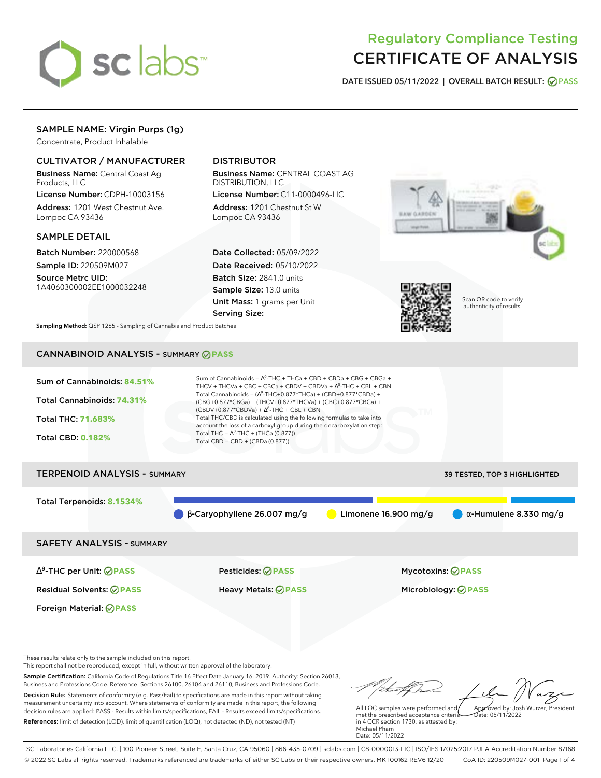

## Regulatory Compliance Testing CERTIFICATE OF ANALYSIS

**DATE ISSUED 05/11/2022 | OVERALL BATCH RESULT: PASS**

## SAMPLE NAME: Virgin Purps (1g)

Concentrate, Product Inhalable

## CULTIVATOR / MANUFACTURER

Business Name: Central Coast Ag Products, LLC

License Number: CDPH-10003156 Address: 1201 West Chestnut Ave. Lompoc CA 93436

### SAMPLE DETAIL

Batch Number: 220000568 Sample ID: 220509M027

Source Metrc UID: 1A4060300002EE1000032248

## DISTRIBUTOR

Business Name: CENTRAL COAST AG DISTRIBUTION, LLC

License Number: C11-0000496-LIC Address: 1201 Chestnut St W Lompoc CA 93436

Date Collected: 05/09/2022 Date Received: 05/10/2022 Batch Size: 2841.0 units Sample Size: 13.0 units Unit Mass: 1 grams per Unit Serving Size:





Scan QR code to verify authenticity of results.

**Sampling Method:** QSP 1265 - Sampling of Cannabis and Product Batches

## CANNABINOID ANALYSIS - SUMMARY **PASS**



# Total Terpenoids: **8.1534%**  $\bullet$  β-Caryophyllene 26.007 mg/g **a** Limonene 16.900 mg/g **a** α-Humulene 8.330 mg/g

SAFETY ANALYSIS - SUMMARY

∆ 9 -THC per Unit: **PASS** Pesticides: **PASS** Mycotoxins: **PASS**

Foreign Material: **PASS**

Residual Solvents: **PASS** Heavy Metals: **PASS** Microbiology: **PASS**

These results relate only to the sample included on this report.

This report shall not be reproduced, except in full, without written approval of the laboratory.

Sample Certification: California Code of Regulations Title 16 Effect Date January 16, 2019. Authority: Section 26013, Business and Professions Code. Reference: Sections 26100, 26104 and 26110, Business and Professions Code. Decision Rule: Statements of conformity (e.g. Pass/Fail) to specifications are made in this report without taking measurement uncertainty into account. Where statements of conformity are made in this report, the following decision rules are applied: PASS - Results within limits/specifications, FAIL - Results exceed limits/specifications.

References: limit of detection (LOD), limit of quantification (LOQ), not detected (ND), not tested (NT)

Approved by: Josh Wurzer, President

 $hat: 05/11/2022$ 

All LQC samples were performed and met the prescribed acceptance criteria in 4 CCR section 1730, as attested by: Michael Pham Date: 05/11/2022

SC Laboratories California LLC. | 100 Pioneer Street, Suite E, Santa Cruz, CA 95060 | 866-435-0709 | sclabs.com | C8-0000013-LIC | ISO/IES 17025:2017 PJLA Accreditation Number 87168 © 2022 SC Labs all rights reserved. Trademarks referenced are trademarks of either SC Labs or their respective owners. MKT00162 REV6 12/20 CoA ID: 220509M027-001 Page 1 of 4